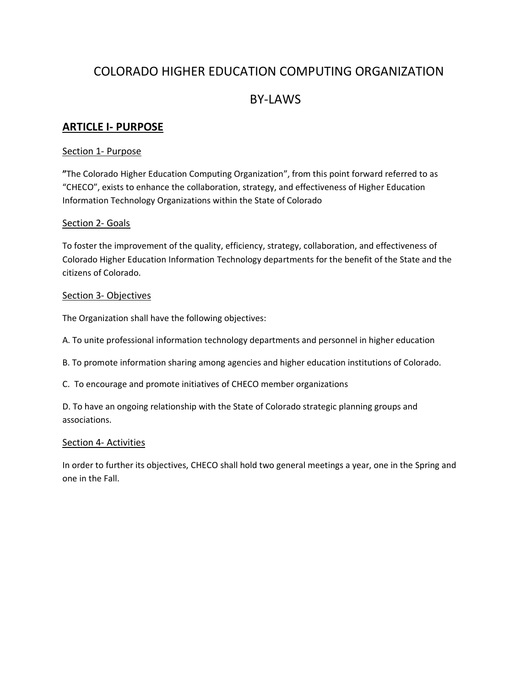# COLORADO HIGHER EDUCATION COMPUTING ORGANIZATION

# BY-LAWS

### **ARTICLE I- PURPOSE**

### Section 1- Purpose

**"**The Colorado Higher Education Computing Organization", from this point forward referred to as "CHECO", exists to enhance the collaboration, strategy, and effectiveness of Higher Education Information Technology Organizations within the State of Colorado

### Section 2- Goals

To foster the improvement of the quality, efficiency, strategy, collaboration, and effectiveness of Colorado Higher Education Information Technology departments for the benefit of the State and the citizens of Colorado.

### Section 3- Objectives

The Organization shall have the following objectives:

A. To unite professional information technology departments and personnel in higher education

- B. To promote information sharing among agencies and higher education institutions of Colorado.
- C. To encourage and promote initiatives of CHECO member organizations

D. To have an ongoing relationship with the State of Colorado strategic planning groups and associations.

#### Section 4- Activities

In order to further its objectives, CHECO shall hold two general meetings a year, one in the Spring and one in the Fall.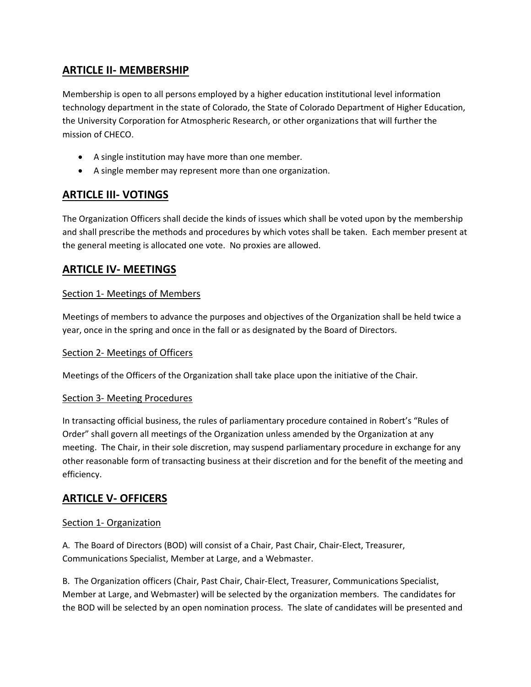# **ARTICLE II- MEMBERSHIP**

Membership is open to all persons employed by a higher education institutional level information technology department in the state of Colorado, the State of Colorado Department of Higher Education, the University Corporation for Atmospheric Research, or other organizations that will further the mission of CHECO.

- A single institution may have more than one member.
- A single member may represent more than one organization.

# **ARTICLE III- VOTINGS**

The Organization Officers shall decide the kinds of issues which shall be voted upon by the membership and shall prescribe the methods and procedures by which votes shall be taken. Each member present at the general meeting is allocated one vote. No proxies are allowed.

## **ARTICLE IV- MEETINGS**

### Section 1- Meetings of Members

Meetings of members to advance the purposes and objectives of the Organization shall be held twice a year, once in the spring and once in the fall or as designated by the Board of Directors.

### Section 2- Meetings of Officers

Meetings of the Officers of the Organization shall take place upon the initiative of the Chair.

### Section 3- Meeting Procedures

In transacting official business, the rules of parliamentary procedure contained in Robert's "Rules of Order" shall govern all meetings of the Organization unless amended by the Organization at any meeting. The Chair, in their sole discretion, may suspend parliamentary procedure in exchange for any other reasonable form of transacting business at their discretion and for the benefit of the meeting and efficiency.

### **ARTICLE V- OFFICERS**

### Section 1- Organization

A. The Board of Directors (BOD) will consist of a Chair, Past Chair, Chair-Elect, Treasurer, Communications Specialist, Member at Large, and a Webmaster.

B. The Organization officers (Chair, Past Chair, Chair-Elect, Treasurer, Communications Specialist, Member at Large, and Webmaster) will be selected by the organization members. The candidates for the BOD will be selected by an open nomination process. The slate of candidates will be presented and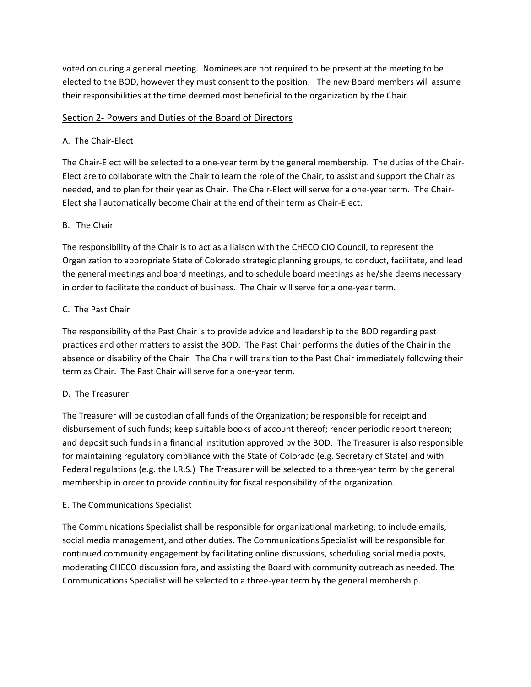voted on during a general meeting. Nominees are not required to be present at the meeting to be elected to the BOD, however they must consent to the position. The new Board members will assume their responsibilities at the time deemed most beneficial to the organization by the Chair.

### Section 2- Powers and Duties of the Board of Directors

### A. The Chair-Elect

The Chair-Elect will be selected to a one-year term by the general membership. The duties of the Chair-Elect are to collaborate with the Chair to learn the role of the Chair, to assist and support the Chair as needed, and to plan for their year as Chair. The Chair-Elect will serve for a one-year term. The Chair-Elect shall automatically become Chair at the end of their term as Chair-Elect.

### B. The Chair

The responsibility of the Chair is to act as a liaison with the CHECO CIO Council, to represent the Organization to appropriate State of Colorado strategic planning groups, to conduct, facilitate, and lead the general meetings and board meetings, and to schedule board meetings as he/she deems necessary in order to facilitate the conduct of business. The Chair will serve for a one-year term.

### C. The Past Chair

The responsibility of the Past Chair is to provide advice and leadership to the BOD regarding past practices and other matters to assist the BOD. The Past Chair performs the duties of the Chair in the absence or disability of the Chair. The Chair will transition to the Past Chair immediately following their term as Chair. The Past Chair will serve for a one-year term.

#### D. The Treasurer

The Treasurer will be custodian of all funds of the Organization; be responsible for receipt and disbursement of such funds; keep suitable books of account thereof; render periodic report thereon; and deposit such funds in a financial institution approved by the BOD. The Treasurer is also responsible for maintaining regulatory compliance with the State of Colorado (e.g. Secretary of State) and with Federal regulations (e.g. the I.R.S.) The Treasurer will be selected to a three-year term by the general membership in order to provide continuity for fiscal responsibility of the organization.

#### E. The Communications Specialist

The Communications Specialist shall be responsible for organizational marketing, to include emails, social media management, and other duties. The Communications Specialist will be responsible for continued community engagement by facilitating online discussions, scheduling social media posts, moderating CHECO discussion fora, and assisting the Board with community outreach as needed. The Communications Specialist will be selected to a three-year term by the general membership.